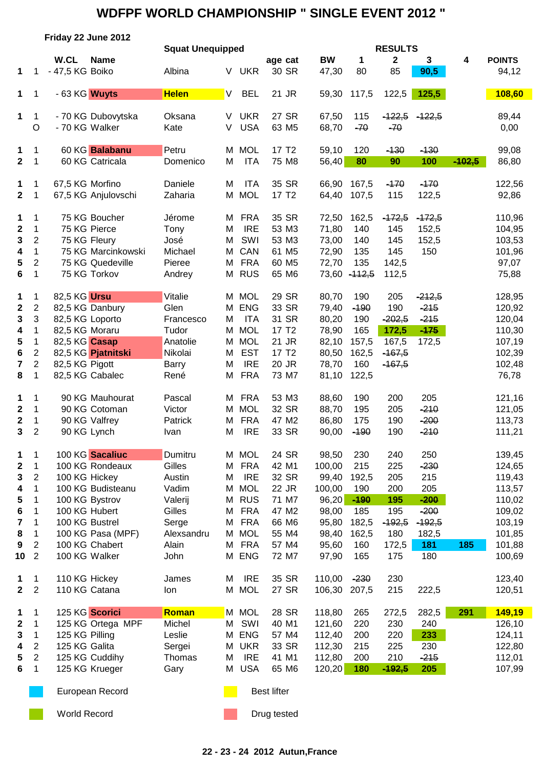|                  |                         | Friday 22 June 2012 |                    |                         |    |            |                   |                   |           |          |                |          |            |               |
|------------------|-------------------------|---------------------|--------------------|-------------------------|----|------------|-------------------|-------------------|-----------|----------|----------------|----------|------------|---------------|
|                  |                         |                     |                    | <b>Squat Unequipped</b> |    |            |                   |                   |           |          | <b>RESULTS</b> |          |            |               |
|                  |                         | W.CL                | <b>Name</b>        |                         |    |            | age cat           |                   | <b>BW</b> | 1        | $\mathbf 2$    | 3        | 4          | <b>POINTS</b> |
| 1                | 1                       | - 47,5 KG Boiko     |                    | Albina                  | V. | <b>UKR</b> |                   | 30 SR             | 47,30     | 80       | 85             | 90,5     |            | 94,12         |
| 1                | 1                       | - 63 KG Wuyts       |                    | <b>Helen</b>            | V  | <b>BEL</b> | 21 JR             |                   | 59,30     | 117,5    | 122,5          | 125,5    |            | 108,60        |
| 1                | 1                       | - 70 KG Dubovytska  |                    | Oksana                  | V. | <b>UKR</b> |                   | 27 SR             | 67,50     | 115      | $-122,5$       | $-122,5$ |            | 89,44         |
|                  | $\circ$                 | - 70 KG Walker      |                    | Kate                    | V  | <b>USA</b> |                   | 63 M <sub>5</sub> | 68,70     | $-70$    | $-70$          |          |            | 0,00          |
| 1                | 1                       | 60 KG Balabanu      |                    | Petru                   | M  | <b>MOL</b> | 17 T <sub>2</sub> |                   | 59,10     | 120      | $-130$         | $-130$   |            | 99,08         |
| $\mathbf{2}$     | $\mathbf 1$             | 60 KG Catricala     |                    | Domenico                | M  | <b>ITA</b> |                   | 75 M8             | 56,40     | 80       | 90             | 100      | $-102.5$   | 86,80         |
| 1                | 1                       | 67,5 KG Morfino     |                    | Daniele                 | M  | <b>ITA</b> |                   | 35 SR             | 66,90     | 167,5    | $-170$         | $-170$   |            | 122,56        |
| $\mathbf{2}$     | 1                       | 67,5 KG Anjulovschi |                    | Zaharia                 | M  | <b>MOL</b> |                   | 17 T <sub>2</sub> | 64,40     | 107,5    | 115            | 122,5    |            | 92,86         |
| 1                | 1                       | 75 KG Boucher       |                    | Jérome                  | M  | <b>FRA</b> |                   | 35 SR             | 72,50     | 162,5    | $-172,5$       | $-172,5$ |            | 110,96        |
| $\mathbf 2$      | $\mathbf{1}$            | 75 KG Pierce        |                    | Tony                    | M  | <b>IRE</b> |                   | 53 M3             | 71,80     | 140      | 145            | 152,5    |            | 104,95        |
| 3                | $\boldsymbol{2}$        | 75 KG Fleury        |                    | José                    | M  | SWI        |                   | 53 M3             | 73,00     | 140      | 145            | 152,5    |            | 103,53        |
| 4                | $\mathbf{1}$            |                     | 75 KG Marcinkowski | Michael                 | M  | CAN        |                   | 61 M5             | 72,90     | 135      | 145            | 150      |            | 101,96        |
| 5                | $\overline{c}$          | 75 KG Quedeville    |                    | Pieree                  | M  | <b>FRA</b> |                   | 60 M <sub>5</sub> | 72,70     | 135      | 142,5          |          |            | 97,07         |
| 6                | $\mathbf{1}$            | 75 KG Torkov        |                    | Andrey                  | Μ  | <b>RUS</b> |                   | 65 M6             | 73,60     | $-112,5$ | 112,5          |          |            | 75,88         |
| 1                | 1                       | 82,5 KG Ursu        |                    | Vitalie                 | Μ  | <b>MOL</b> |                   | 29 SR             | 80,70     | 190      | 205            | $-212,5$ |            | 128,95        |
| $\mathbf 2$      | $\sqrt{2}$              | 82,5 KG Danbury     |                    | Glen                    | M  | <b>ENG</b> |                   | 33 SR             | 79,40     | $-190$   | 190            | $-215$   |            | 120,92        |
| 3                | 3                       | 82,5 KG Loporto     |                    | Francesco               | м  | <b>ITA</b> |                   | 31 SR             | 80,20     | 190      | $-202,5$       | $-215$   |            | 120,04        |
| 4                | $\mathbf{1}$            | 82,5 KG Moraru      |                    | Tudor                   | M  | <b>MOL</b> | 17 T <sub>2</sub> |                   | 78,90     | 165      | 172,5          | $-175$   |            | 110,30        |
| 5                | 1                       | 82,5 KG Casap       |                    | Anatolie                | M  | <b>MOL</b> | 21 JR             |                   | 82,10     | 157,5    | 167,5          | 172,5    |            | 107,19        |
| 6                | $\boldsymbol{2}$        | 82,5 KG Pjatnitski  |                    | Nikolai                 | M  | <b>EST</b> | 17 T <sub>2</sub> |                   | 80,50     | 162,5    | $-167,5$       |          |            | 102,39        |
| 7                | $\overline{\mathbf{c}}$ | 82,5 KG Pigott      |                    | Barry                   | M  | <b>IRE</b> | 20 JR             |                   | 78,70     | 160      | $-167,5$       |          |            | 102,48        |
| 8                | 1                       | 82,5 KG Cabalec     |                    | René                    | M  | <b>FRA</b> |                   | 73 M7             | 81,10     | 122,5    |                |          |            | 76,78         |
| 1                | 1                       | 90 KG Mauhourat     |                    | Pascal                  | M  | <b>FRA</b> |                   | 53 M3             | 88,60     | 190      | 200            | 205      |            | 121,16        |
| $\boldsymbol{2}$ | $\mathbf{1}$            | 90 KG Cotoman       |                    | Victor                  | M  | <b>MOL</b> |                   | 32 SR             | 88,70     | 195      | 205            | $-210$   |            | 121,05        |
| $\mathbf 2$      | $\mathbf{1}$            | 90 KG Valfrey       |                    | Patrick                 | M  | <b>FRA</b> |                   | 47 M2             | 86,80     | 175      | 190            | $-200$   |            | 113,73        |
| 3                | $\overline{2}$          | 90 KG Lynch         |                    | Ivan                    | M  | <b>IRE</b> |                   | 33 SR             | 90,00     | $-190$   | 190            | $-210$   |            | 111,21        |
| 1                | 1                       | 100 KG Sacaliuc     |                    | Dumitru                 |    | M MOL      |                   | 24 SR             | 98,50     | 230      | 240            | 250      |            | 139,45        |
| $\mathbf 2$      | 1                       | 100 KG Rondeaux     |                    | Gilles                  | M  | <b>FRA</b> | 42 M1             |                   | 100,00    | 215      | 225            | $-230$   |            | 124,65        |
| 3                | $\overline{2}$          | 100 KG Hickey       |                    | Austin                  | M  | <b>IRE</b> |                   | 32 SR             | 99,40     | 192,5    | 205            | 215      |            | 119,43        |
| 4                | 1                       | 100 KG Budisteanu   |                    | Vadim                   | M  | <b>MOL</b> | 22 JR             |                   | 100,00    | 190      | 200            | 205      |            | 113,57        |
| 5                | 1                       | 100 KG Bystrov      |                    | Valerij                 | M  | <b>RUS</b> |                   | 71 M7             | 96,20     | $-190$   | 195            | $-200$   |            | 110,02        |
| 6                | 1                       | 100 KG Hubert       |                    | Gilles                  | M  | <b>FRA</b> |                   | 47 M2             | 98,00     | 185      | 195            | $-200$   |            | 109,02        |
| 7                | 1                       | 100 KG Bustrel      |                    | Serge                   | M  | <b>FRA</b> |                   | 66 M6             | 95,80     | 182,5    | $-192,5$       | $-192,5$ |            | 103,19        |
| 8                | 1                       | 100 KG Pasa (MPF)   |                    | Alexsandru              | M  | <b>MOL</b> |                   | 55 M4             | 98,40     | 162,5    | 180            | 182,5    |            | 101,85        |
| 9                | $\sqrt{2}$              | 100 KG Chabert      |                    | Alain                   | M  | <b>FRA</b> |                   | 57 M4             | 95,60     | 160      | 172,5          | 181      | <b>185</b> | 101,88        |
| 10               | $\overline{2}$          | 100 KG Walker       |                    | John                    | M  | <b>ENG</b> |                   | 72 M7             | 97,90     | 165      | 175            | 180      |            | 100,69        |
| 1                | 1                       | 110 KG Hickey       |                    | James                   | M  | <b>IRE</b> |                   | 35 SR             | 110,00    | $-230$   | 230            |          |            | 123,40        |
| $\mathbf{2}$     | $\overline{2}$          | 110 KG Catana       |                    | lon                     |    | M MOL      |                   | 27 SR             | 106,30    | 207,5    | 215            | 222,5    |            | 120,51        |
| 1                | 1                       | 125 KG Scorici      |                    | Roman                   |    | M MOL      |                   | 28 SR             | 118,80    | 265      | 272,5          | 282,5    | 291        | 149,19        |
| 2                | 1                       |                     | 125 KG Ortega MPF  | Michel                  | M  | SWI        | 40 M1             |                   | 121,60    | 220      | 230            | 240      |            | 126,10        |
| 3                | 1                       | 125 KG Pilling      |                    | Leslie                  | М  | <b>ENG</b> |                   | 57 M4             | 112,40    | 200      | 220            | 233      |            | 124,11        |
| 4                | $\overline{2}$          | 125 KG Galita       |                    | Sergei                  | М  | <b>UKR</b> |                   | 33 SR             | 112,30    | 215      | 225            | 230      |            | 122,80        |
| 5                | $\overline{2}$          | 125 KG Cuddihy      |                    | Thomas                  | M  | <b>IRE</b> |                   | 41 M1             | 112,80    | 200      | 210            | $-215$   |            | 112,01        |
| 6                | 1                       | 125 KG Krueger      |                    | Gary                    | М  | <b>USA</b> |                   | 65 M6             | 120,20    | 180      | $-192,5$       | 205      |            | 107,99        |
|                  |                         |                     |                    |                         |    |            |                   |                   |           |          |                |          |            |               |

European Record **Best lifter** Best lifter

World Record **Drug tested** Drug tested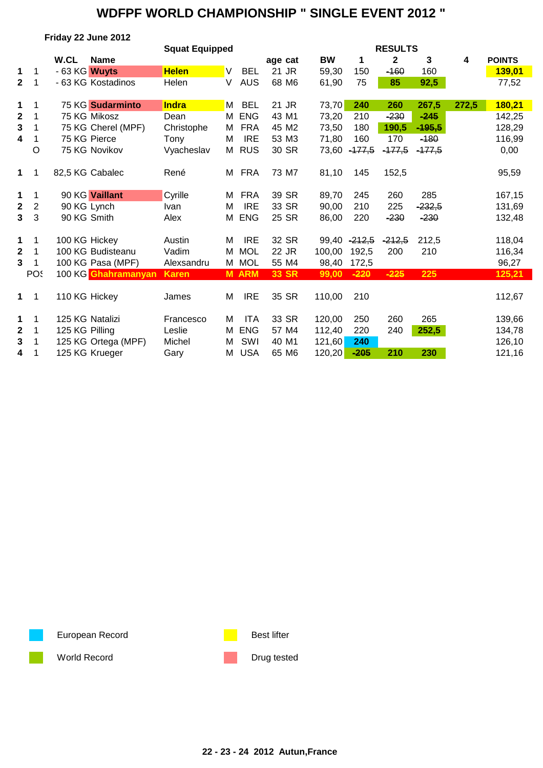| Friday 22 June 2012 |  |  |
|---------------------|--|--|
|                     |  |  |

|                  |                |                |                     | <b>Squat Equipped</b> |   |              |              |           |          | <b>RESULTS</b> |          |       |               |
|------------------|----------------|----------------|---------------------|-----------------------|---|--------------|--------------|-----------|----------|----------------|----------|-------|---------------|
|                  |                | W.CL           | <b>Name</b>         |                       |   |              | age cat      | <b>BW</b> | 1        | $\mathbf{2}$   | 3        | 4     | <b>POINTS</b> |
| 1                | 1              | - 63 KG Wuyts  |                     | <b>Helen</b>          | V | <b>BEL</b>   | 21 JR        | 59,30     | 150      | $-160$         | 160      |       | 139,01        |
| $\mathbf{2}$     | 1              |                | - 63 KG Kostadinos  | Helen                 | V | <b>AUS</b>   | 68 M6        | 61,90     | 75       | 85             | 92,5     |       | 77,52         |
| 1                |                |                | 75 KG Sudarminto    | <b>Indra</b>          | M | <b>BEL</b>   | 21 JR        | 73,70     | 240      | 260            | 267,5    | 272,5 | 180,21        |
| $\mathbf 2$      |                |                | 75 KG Mikosz        | Dean                  | М | <b>ENG</b>   | 43 M1        | 73,20     | 210      | $-230$         | $-245$   |       | 142,25        |
| 3                |                |                | 75 KG Cherel (MPF)  | Christophe            | М | <b>FRA</b>   | 45 M2        | 73,50     | 180      | 190,5          | $-195,5$ |       | 128,29        |
| 4                |                |                | 75 KG Pierce        | Tony                  | M | <b>IRE</b>   | 53 M3        | 71,80     | 160      | 170            | $-180$   |       | 116,99        |
|                  | O              |                | 75 KG Novikov       | Vyacheslav            |   | M RUS        | 30 SR        | 73,60     | $-177,5$ | $-177,5$       | $-177,5$ |       | 0,00          |
| $\mathbf 1$      | 1              |                | 82,5 KG Cabalec     | René                  | М | FRA          | 73 M7        | 81,10     | 145      | 152,5          |          |       | 95,59         |
| 1                | 1              |                | 90 KG Vaillant      | Cyrille               | м | <b>FRA</b>   | 39 SR        | 89,70     | 245      | 260            | 285      |       | 167,15        |
| $\boldsymbol{2}$ | $\overline{c}$ |                | 90 KG Lynch         | Ivan                  | M | <b>IRE</b>   | 33 SR        | 90,00     | 210      | 225            | $-232,5$ |       | 131,69        |
| $3\phantom{a}$   | 3              | 90 KG Smith    |                     | Alex                  | М | <b>ENG</b>   | 25 SR        | 86,00     | 220      | $-230$         | $-230$   |       | 132,48        |
| 1                | 1              | 100 KG Hickey  |                     | Austin                | M | <b>IRE</b>   | 32 SR        | 99,40     | $-212,5$ | $-212,5$       | 212,5    |       | 118,04        |
| $\mathbf{2}$     | 1              |                | 100 KG Budisteanu   | Vadim                 | м | <b>MOL</b>   | 22 JR        | 100,00    | 192,5    | 200            | 210      |       | 116,34        |
| 3                |                |                | 100 KG Pasa (MPF)   | Alexsandru            |   | M MOL        | 55 M4        | 98,40     | 172,5    |                |          |       | 96,27         |
|                  | POS            |                | 100 KG Ghahramanyan | <b>Karen</b>          |   | <b>M ARM</b> | <b>33 SR</b> | 99,00     | $-220$   | $-225$         | 225      |       | 125,21        |
| $\mathbf 1$      | 1              | 110 KG Hickey  |                     | James                 | M | <b>IRE</b>   | 35 SR        | 110,00    | 210      |                |          |       | 112,67        |
| 1                | 1              |                | 125 KG Natalizi     | Francesco             | м | <b>ITA</b>   | 33 SR        | 120,00    | 250      | 260            | 265      |       | 139,66        |
| $\mathbf{2}$     | 1              | 125 KG Pilling |                     | Leslie                | M | <b>ENG</b>   | 57 M4        | 112,40    | 220      | 240            | 252,5    |       | 134,78        |
| 3                |                |                | 125 KG Ortega (MPF) | Michel                | M | SWI          | 40 M1        | 121,60    | 240      |                |          |       | 126,10        |
| 4                | 1              |                | 125 KG Krueger      | Gary                  | М | <b>USA</b>   | 65 M6        | 120,20    | $-205$   | 210            | 230      |       | 121,16        |

European Record **Best lifter** Best lifter

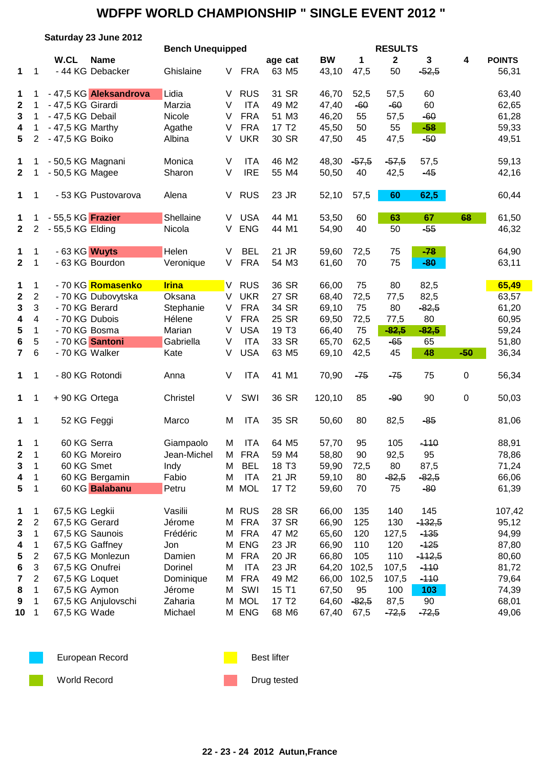|                  |                         |                          | Saturday 23 June 2012  |                         |        |            |                   |           |         |                |              |             |               |
|------------------|-------------------------|--------------------------|------------------------|-------------------------|--------|------------|-------------------|-----------|---------|----------------|--------------|-------------|---------------|
|                  |                         |                          |                        | <b>Bench Unequipped</b> |        |            |                   |           |         | <b>RESULTS</b> |              |             |               |
|                  |                         | W.CL                     | <b>Name</b>            |                         |        |            | age cat           | <b>BW</b> | 1       | $\mathbf{2}$   | $\mathbf{3}$ | 4           | <b>POINTS</b> |
| 1                | 1                       |                          | - 44 KG Debacker       | Ghislaine               | V      | <b>FRA</b> | 63 M <sub>5</sub> | 43,10     | 47,5    | 50             | $-52,5$      |             | 56,31         |
| 1                | 1.                      |                          | - 47,5 KG Aleksandrova | Lidia                   | V      | <b>RUS</b> | 31 SR             | 46,70     | 52,5    | 57,5           | 60           |             | 63,40         |
| $\boldsymbol{2}$ | 1.                      | - 47,5 KG Girardi        |                        | Marzia                  | $\vee$ | <b>ITA</b> | 49 M2             | 47,40     | $-60$   | $-60$          | 60           |             | 62,65         |
| $\mathbf{3}$     | $\mathbf 1$             | - 47,5 KG Debail         |                        | Nicole                  | $\vee$ | <b>FRA</b> | 51 M3             | 46,20     | 55      | 57,5           | $-60$        |             | 61,28         |
| 4                | 1                       | - 47,5 KG Marthy         |                        | Agathe                  | $\vee$ | <b>FRA</b> | 17 T <sub>2</sub> | 45,50     | 50      | 55             | $-58$        |             | 59,33         |
| $5\phantom{.0}$  | $\overline{2}$          | - 47,5 KG Boiko          |                        | Albina                  | V      | <b>UKR</b> | 30 SR             | 47,50     | 45      | 47,5           | $-50$        |             | 49,51         |
| 1                | 1                       | - 50,5 KG Magnani        |                        | Monica                  | $\vee$ | <b>ITA</b> | 46 M2             | 48,30     | $-57,5$ | $-57,5$        | 57,5         |             | 59,13         |
| $\mathbf{2}$     | 1                       | - 50,5 KG Magee          |                        | Sharon                  | $\vee$ | <b>IRE</b> | 55 M4             | 50,50     | 40      | 42,5           | $-45$        |             | 42,16         |
| 1                | 1                       |                          | - 53 KG Pustovarova    | Alena                   | V      | <b>RUS</b> | 23 JR             | 52,10     | 57,5    | 60             | 62,5         |             | 60,44         |
| 1                | 1                       | - 55,5 KG <b>Frazier</b> |                        | Shellaine               | V      | <b>USA</b> | 44 M1             | 53,50     | 60      | 63             | 67           | 68          | 61,50         |
| $\mathbf{2}$     | $\overline{2}$          | - 55,5 KG Elding         |                        | Nicola                  | V      | <b>ENG</b> | 44 M1             | 54,90     | 40      | 50             | $-55$        |             | 46,32         |
| 1                | 1                       | - 63 KG Wuyts            |                        | Helen                   | V      | <b>BEL</b> | 21 JR             | 59,60     | 72,5    | 75             | $-78$        |             | 64,90         |
| $\mathbf 2$      | 1                       | - 63 KG Bourdon          |                        | Veronique               | V      | <b>FRA</b> | 54 M3             | 61,60     | 70      | 75             | $-80$        |             | 63,11         |
| 1                | 1                       |                          | - 70 KG Romasenko      | <b>Irina</b>            | V.     | <b>RUS</b> | 36 SR             | 66,00     | 75      | 80             | 82,5         |             | 65,49         |
| $\boldsymbol{2}$ | $\overline{2}$          |                          | - 70 KG Dubovytska     | Oksana                  | V      | <b>UKR</b> | 27 SR             | 68,40     | 72,5    | 77,5           | 82,5         |             | 63,57         |
| 3                | 3                       | - 70 KG Berard           |                        | Stephanie               | V      | <b>FRA</b> | 34 SR             | 69,10     | 75      | 80             | $-82,5$      |             | 61,20         |
| 4                | $\overline{\mathbf{4}}$ | - 70 KG Dubois           |                        | Hélene                  | V      | <b>FRA</b> | 25 SR             | 69,50     | 72,5    | 77,5           | 80           |             | 60,95         |
| 5                | 1                       | - 70 KG Bosma            |                        | Marian                  | $\vee$ | <b>USA</b> | 19 T <sub>3</sub> | 66,40     | 75      | $-82,5$        | $-82,5$      |             | 59,24         |
| 6                | 5                       | - 70 KG Santoni          |                        | Gabriella               | V      | <b>ITA</b> | 33 SR             | 65,70     | 62,5    | $-65$          | 65           |             | 51,80         |
| $\overline{7}$   | 6                       | - 70 KG Walker           |                        | Kate                    | V      | <b>USA</b> | 63 M <sub>5</sub> | 69,10     | 42,5    | 45             | 48           | $-50$       | 36,34         |
| $\mathbf 1$      | 1                       | - 80 KG Rotondi          |                        | Anna                    | V      | <b>ITA</b> | 41 M1             | 70,90     | $-75$   | $-75$          | 75           | 0           | 56,34         |
| $\mathbf 1$      | 1                       | +90 KG Ortega            |                        | Christel                | V      | SWI        | 36 SR             | 120,10    | 85      | $-90$          | 90           | $\mathbf 0$ | 50,03         |
| 1                | 1                       | 52 KG Feggi              |                        | Marco                   | M      | <b>ITA</b> | 35 SR             | 50,60     | 80      | 82,5           | $-85$        |             | 81,06         |
| 1                | 1                       | 60 KG Serra              |                        | Giampaolo               | M      | ITA        | 64 M <sub>5</sub> | 57,70     | 95      | 105            | $-110$       |             | 88,91         |
| 2                | 1                       |                          | 60 KG Moreiro          | Jean-Michel             | M      | <b>FRA</b> | 59 M4             | 58,80     | 90      | 92,5           | 95           |             | 78,86         |
| 3                | 1                       | 60 KG Smet               |                        | Indy                    | M      | <b>BEL</b> | 18 T <sub>3</sub> | 59,90     | 72,5    | 80             | 87,5         |             | 71,24         |
| 4                | 1                       |                          | 60 KG Bergamin         | Fabio                   | M      | <b>ITA</b> | 21 JR             | 59,10     | 80      | $-82,5$        | $-82,5$      |             | 66,06         |
| 5                | 1                       |                          | 60 KG Balabanu         | Petru                   | M      | <b>MOL</b> | 17 T <sub>2</sub> | 59,60     | 70      | 75             | $-80$        |             | 61,39         |
| 1                | 1                       | 67,5 KG Legkii           |                        | Vasilii                 | M      | <b>RUS</b> | 28 SR             | 66,00     | 135     | 140            | 145          |             | 107,42        |
| $\mathbf 2$      | $\overline{2}$          | 67,5 KG Gerard           |                        | Jérome                  | M      | <b>FRA</b> | 37 SR             | 66,90     | 125     | 130            | $-132,5$     |             | 95,12         |
| 3                | 1                       | 67,5 KG Saunois          |                        | Frédéric                | M      | <b>FRA</b> | 47 M2             | 65,60     | 120     | 127,5          | $-135$       |             | 94,99         |
| 4                | 1                       | 67,5 KG Gaffney          |                        | Jon                     | M      | <b>ENG</b> | 23 JR             | 66,90     | 110     | 120            | $-125$       |             | 87,80         |
| 5                | $\overline{2}$          |                          | 67,5 KG Monlezun       | Damien                  | M      | <b>FRA</b> | 20 JR             | 66,80     | 105     | 110            | $-112,5$     |             | 80,60         |
| 6                | 3                       | 67,5 KG Onufrei          |                        | Dorinel                 | M      | <b>ITA</b> | 23 JR             | 64,20     | 102,5   | 107,5          | $-110$       |             | 81,72         |
| 7                | $\overline{c}$          | 67,5 KG Loquet           |                        | Dominique               | M      | <b>FRA</b> | 49 M2             | 66,00     | 102,5   | 107,5          | $-110$       |             | 79,64         |
| 8                | 1                       | 67,5 KG Aymon            |                        | Jérome                  | M      | SWI        | 15 T1             | 67,50     | 95      | 100            | 103          |             | 74,39         |
| 9                | 1                       |                          | 67,5 KG Anjulovschi    | Zaharia                 | M      | <b>MOL</b> | 17 T <sub>2</sub> | 64,60     | $-82,5$ | 87,5           | 90           |             | 68,01         |
| 10               | $\mathbf 1$             | 67,5 KG Wade             |                        | Michael                 |        | M ENG      | 68 M6             | 67,40     | 67,5    | $-72,5$        | $-72,5$      |             | 49,06         |







World Record **Drug tested** Drug tested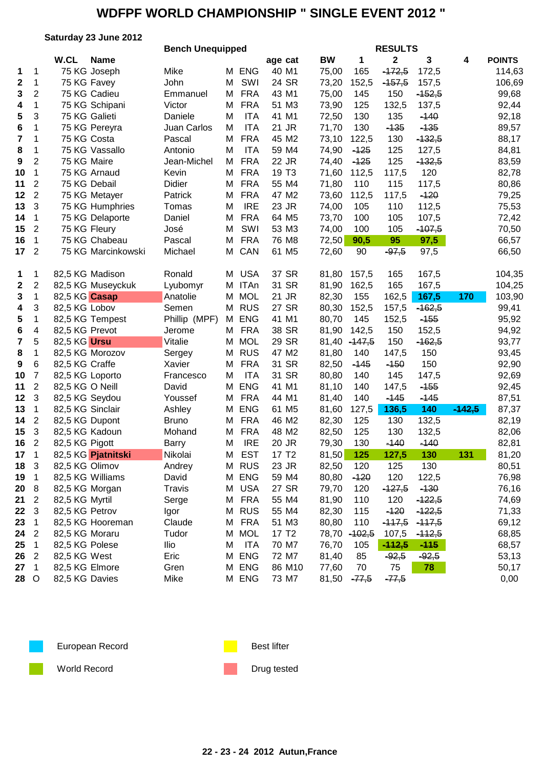#### **Saturday 23 June 2012**

|                         |                |                  |                    | <b>Bench Unequipped</b> |   |            |                   |           |           | <b>RESULTS</b> |          |          |               |
|-------------------------|----------------|------------------|--------------------|-------------------------|---|------------|-------------------|-----------|-----------|----------------|----------|----------|---------------|
|                         |                | W.CL             | <b>Name</b>        |                         |   |            | age cat           | <b>BW</b> | 1         | $\mathbf{2}$   | 3        | 4        | <b>POINTS</b> |
| 1                       | 1              |                  | 75 KG Joseph       | Mike                    | м | <b>ENG</b> | 40 M1             | 75,00     | 165       | $-172,5$       | 172,5    |          | 114,63        |
| $\boldsymbol{2}$        | 1              |                  | 75 KG Favey        | John                    | М | SWI        | 24 SR             | 73,20     | 152,5     | $-157,5$       | 157,5    |          | 106,69        |
| $\mathbf{3}$            | $\overline{2}$ |                  | 75 KG Cadieu       | Emmanuel                | М | <b>FRA</b> | 43 M1             | 75,00     | 145       | 150            | $-152,5$ |          | 99,68         |
| 4                       | 1              |                  | 75 KG Schipani     | Victor                  | M | <b>FRA</b> | 51 M3             | 73,90     | 125       | 132,5          | 137,5    |          | 92,44         |
| 5                       | 3              |                  | 75 KG Galieti      | Daniele                 | M | <b>ITA</b> | 41 M1             | 72,50     | 130       | 135            | $-140$   |          | 92,18         |
| 6                       | 1              |                  | 75 KG Pereyra      | Juan Carlos             | M | <b>ITA</b> | 21 JR             | 71,70     | 130       | $-135$         | $-135$   |          | 89,57         |
| $\overline{\mathbf{7}}$ | 1              | 75 KG Costa      |                    | Pascal                  | М | <b>FRA</b> | 45 M2             | 73,10     | 122,5     | 130            | $-132,5$ |          | 88,17         |
| 8                       | 1              |                  | 75 KG Vassallo     | Antonio                 | M | <b>ITA</b> | 59 M4             | 74,90     | $-125$    | 125            | 127,5    |          | 84,81         |
| $\boldsymbol{9}$        | $\overline{2}$ | 75 KG Maire      |                    | Jean-Michel             | М | <b>FRA</b> | 22 JR             | 74,40     | $-125$    | 125            | $-132,5$ |          | 83,59         |
| 10                      | 1              |                  | 75 KG Arnaud       | Kevin                   | M | <b>FRA</b> | 19 T <sub>3</sub> | 71,60     | 112,5     | 117,5          | 120      |          | 82,78         |
| 11                      | 2              |                  | 75 KG Debail       | Didier                  | M | <b>FRA</b> | 55 M4             | 71,80     | 110       | 115            | 117,5    |          | 80,86         |
| 12                      | $\overline{2}$ |                  | 75 KG Metayer      | Patrick                 | М | <b>FRA</b> | 47 M2             | 73,60     | 112,5     | 117,5          | $-120$   |          | 79,25         |
| 13                      | 3              |                  | 75 KG Humphries    | Tomas                   | M | <b>IRE</b> | 23 JR             | 74,00     | 105       | 110            | 112,5    |          | 75,53         |
| 14                      | $\mathbf 1$    |                  | 75 KG Delaporte    | Daniel                  | M | <b>FRA</b> | 64 M5             | 73,70     | 100       | 105            | 107,5    |          | 72,42         |
| 15                      | $\overline{2}$ |                  | 75 KG Fleury       | José                    | M | SWI        | 53 M3             | 74,00     | 100       | 105            | $-107,5$ |          | 70,50         |
| 16                      | $\mathbf 1$    |                  | 75 KG Chabeau      | Pascal                  | M | <b>FRA</b> | 76 M8             | 72,50     | 90,5      | 95             | 97,5     |          | 66,57         |
| 17                      | $\overline{2}$ |                  | 75 KG Marcinkowski | Michael                 | Μ | CAN        | 61 M <sub>5</sub> | 72,60     | 90        | $-97,5$        | 97,5     |          | 66,50         |
|                         |                |                  |                    |                         |   |            |                   |           |           |                |          |          |               |
|                         |                |                  | 82,5 KG Madison    | Ronald                  |   | <b>USA</b> | 37 SR             | 81,80     | 157,5     | 165            | 167,5    |          |               |
| 1                       | 1              |                  |                    |                         | M |            |                   |           |           |                |          |          | 104,35        |
| $\boldsymbol{2}$        | 2              |                  | 82,5 KG Museyckuk  | Lyubomyr                |   | M ITAn     | 31 SR             | 81,90     | 162,5     | 165            | 167,5    |          | 104,25        |
| 3                       | $\mathbf{1}$   | 82,5 KG Casap    |                    | Anatolie                | М | <b>MOL</b> | 21 JR             | 82,30     | 155       | 162,5          | 167,5    | 170      | 103,90        |
| 4                       | 3              | 82,5 KG Lobov    |                    | Semen                   | М | <b>RUS</b> | 27 SR             | 80,30     | 152,5     | 157,5          | $-162,5$ |          | 99,41         |
| 5                       | 1              |                  | 82,5 KG Tempest    | Phillip (MPF)           |   | M ENG      | 41 M1             | 80,70     | 145       | 152,5          | $-155$   |          | 95,92         |
| 6                       | 4              | 82,5 KG Prevot   |                    | Jerome                  | М | <b>FRA</b> | 38 SR             | 81,90     | 142,5     | 150            | 152,5    |          | 94,92         |
| $\overline{\mathbf{r}}$ | 5              | 82,5 KG Ursu     |                    | Vitalie                 | M | <b>MOL</b> | 29 SR             | 81,40     | $-147,5$  | 150            | $-162,5$ |          | 93,77         |
| 8                       | 1              |                  | 82,5 KG Morozov    | Sergey                  | M | <b>RUS</b> | 47 M2             | 81,80     | 140       | 147,5          | 150      |          | 93,45         |
| $\boldsymbol{9}$        | 6              | 82,5 KG Craffe   |                    | Xavier                  | M | <b>FRA</b> | 31 SR             | 82,50     | $-145$    | $-150$         | 150      |          | 92,90         |
| 10                      | $\overline{7}$ | 82,5 KG Loporto  |                    | Francesco               | M | <b>ITA</b> | 31 SR             | 80,80     | 140       | 145            | 147,5    |          | 92,69         |
| 11                      | $\overline{2}$ | 82,5 KG O Neill  |                    | David                   | M | <b>ENG</b> | 41 M1             | 81,10     | 140       | 147,5          | $-155$   |          | 92,45         |
| 12                      | 3              | 82,5 KG Seydou   |                    | Youssef                 | M | <b>FRA</b> | 44 M1             | 81,40     | 140       | $-145$         | $-145$   |          | 87,51         |
| 13                      | 1              | 82,5 KG Sinclair |                    | Ashley                  | М | <b>ENG</b> | 61 M5             | 81,60     | 127,5     | 136,5          | 140      | $-142,5$ | 87,37         |
| 14                      | $\overline{2}$ | 82,5 KG Dupont   |                    | <b>Bruno</b>            | M | <b>FRA</b> | 46 M2             | 82,30     | 125       | 130            | 132,5    |          | 82,19         |
| 15                      | $\mathfrak{B}$ | 82,5 KG Kadoun   |                    | Mohand                  | М | <b>FRA</b> | 48 M2             | 82,50     | 125       | 130            | 132,5    |          | 82,06         |
| 16                      | $\overline{2}$ | 82,5 KG Pigott   |                    | Barry                   | M | <b>IRE</b> | 20 JR             | 79,30     | 130       | $-140$         | $-140$   |          | 82,81         |
| 17                      | 1              |                  | 82,5 KG Pjatnitski | Nikolai                 | M | <b>EST</b> | 17 T2             |           | 81,50 125 | 127,5          | 130      | $131 -$  | 81,20         |
| 18                      | 3              | 82,5 KG Olimov   |                    | Andrey                  |   | M RUS      | 23 JR             | 82,50     | 120       | 125            | 130      |          | 80,51         |
| 19                      | 1              |                  | 82,5 KG Williams   | David                   | Μ | <b>ENG</b> | 59 M4             | 80,80     | $-120$    | 120            | 122,5    |          | 76,98         |
| 20                      | 8              | 82,5 KG Morgan   |                    | <b>Travis</b>           | М | <b>USA</b> | 27 SR             | 79,70     | 120       | $-127,5$       | $-130$   |          | 76,16         |
| 21                      | $\sqrt{2}$     | 82,5 KG Myrtil   |                    | Serge                   | Μ | <b>FRA</b> | 55 M4             | 81,90     | 110       | 120            | $-122,5$ |          | 74,69         |
| 22                      | $\sqrt{3}$     | 82,5 KG Petrov   |                    | Igor                    | м | <b>RUS</b> | 55 M4             | 82,30     | 115       | $-120$         | $-122,5$ |          | 71,33         |
| 23                      | 1              |                  | 82,5 KG Hooreman   | Claude                  | Μ | <b>FRA</b> | 51 M3             | 80,80     | 110       | $-117,5$       | $-117,5$ |          | 69,12         |
| 24                      | $\overline{2}$ | 82,5 KG Moraru   |                    | Tudor                   | Μ | <b>MOL</b> | 17 T <sub>2</sub> | 78,70     | $-102,5$  | 107,5          | $-112,5$ |          | 68,85         |
| 25                      | 1              | 82,5 KG Polese   |                    | llio                    | M | <b>ITA</b> | 70 M7             | 76,70     | 105       | $-112,5$       | $-115$   |          | 68,57         |
| 26                      | $\overline{2}$ | 82,5 KG West     |                    | Eric                    | Μ | <b>ENG</b> | 72 M7             | 81,40     | 85        | $-92,5$        | $-92,5$  |          | 53,13         |
| 27                      | $\mathbf{1}$   | 82,5 KG Elmore   |                    | Gren                    | М | <b>ENG</b> | 86 M10            | 77,60     | 70        | 75             | 78       |          | 50,17         |
| 28 O                    |                | 82,5 KG Davies   |                    | Mike                    |   | M ENG      | 73 M7             | 81,50     | $-77,5$   | $-77,5$        |          |          | 0,00          |
|                         |                |                  |                    |                         |   |            |                   |           |           |                |          |          |               |



European Record **Best lifter** Best lifter



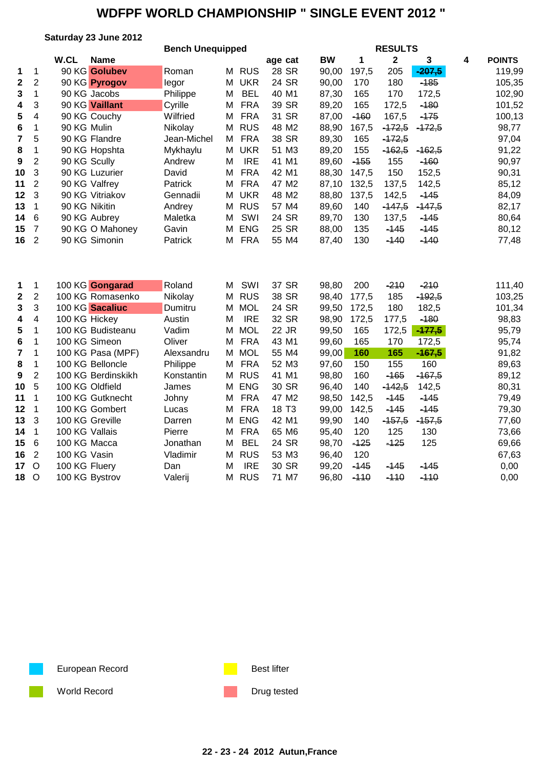**Saturday 23 June 2012**

|                         |                |                |                    | <b>Bench Unequipped</b> |   |            |                   |           |        | <b>RESULTS</b> |          |   |               |
|-------------------------|----------------|----------------|--------------------|-------------------------|---|------------|-------------------|-----------|--------|----------------|----------|---|---------------|
|                         |                | W.CL           | <b>Name</b>        |                         |   |            | age cat           | <b>BW</b> | 1      | $\mathbf{2}$   | 3        | 4 | <b>POINTS</b> |
| 1                       | 1              |                | 90 KG Golubev      | Roman                   |   | M RUS      | 28 SR             | 90,00     | 197,5  | 205            | $-207,5$ |   | 119,99        |
| $\mathbf{2}$            | $\overline{2}$ |                | 90 KG Pyrogov      | legor                   | M | <b>UKR</b> | 24 SR             | 90,00     | 170    | 180            | $-185$   |   | 105,35        |
| 3                       | $\mathbf{1}$   |                | 90 KG Jacobs       | Philippe                | M | <b>BEL</b> | 40 M1             | 87,30     | 165    | 170            | 172,5    |   | 102,90        |
| 4                       | 3              |                | 90 KG Vaillant     | Cyrille                 | M | <b>FRA</b> | 39 SR             | 89,20     | 165    | 172,5          | $-180$   |   | 101,52        |
| 5                       | 4              |                | 90 KG Couchy       | Wilfried                | м | <b>FRA</b> | 31 SR             | 87,00     | $-160$ | 167,5          | $-175$   |   | 100,13        |
| 6                       | 1              | 90 KG Mulin    |                    | Nikolay                 | M | <b>RUS</b> | 48 M2             | 88,90     | 167,5  | $-172,5$       | $-472,5$ |   | 98,77         |
| $\overline{\mathbf{7}}$ | 5              |                | 90 KG Flandre      | Jean-Michel             | M | <b>FRA</b> | 38 SR             | 89,30     | 165    | $-172,5$       |          |   | 97,04         |
| 8                       | 1              |                | 90 KG Hopshta      | Mykhaylu                | M | <b>UKR</b> | 51 M3             | 89,20     | 155    | $-162,5$       | $-162,5$ |   | 91,22         |
| 9                       | $\overline{2}$ | 90 KG Scully   |                    | Andrew                  | M | <b>IRE</b> | 41 M1             | 89,60     | $-155$ | 155            | $-160$   |   | 90,97         |
| 10                      | 3              |                | 90 KG Luzurier     | David                   | M | <b>FRA</b> | 42 M1             | 88,30     | 147,5  | 150            | 152,5    |   | 90,31         |
| 11                      | $\overline{2}$ |                | 90 KG Valfrey      | Patrick                 | M | <b>FRA</b> | 47 M2             | 87,10     | 132,5  | 137,5          | 142,5    |   | 85,12         |
| 12                      | 3              |                | 90 KG Vitriakov    | Gennadii                | М | <b>UKR</b> | 48 M2             | 88,80     | 137,5  | 142,5          | $-145$   |   | 84,09         |
| 13                      | $\mathbf{1}$   | 90 KG Nikitin  |                    | Andrey                  | M | <b>RUS</b> | 57 M4             | 89,60     | 140    | $-447,5$       | $-147,5$ |   | 82,17         |
| 14                      | 6              |                | 90 KG Aubrey       | Maletka                 | M | SWI        | 24 SR             | 89,70     | 130    | 137,5          | $-145$   |   | 80,64         |
| 15                      | $\overline{7}$ |                | 90 KG O Mahoney    | Gavin                   | M | <b>ENG</b> | 25 SR             | 88,00     | 135    | $-145$         | $-145$   |   | 80,12         |
| 16                      | $\overline{2}$ |                | 90 KG Simonin      | Patrick                 | M | <b>FRA</b> | 55 M4             | 87,40     | 130    | $-140$         | $-140$   |   | 77,48         |
| 1                       | 1              |                | 100 KG Gongarad    | Roland                  | М | SWI        | 37 SR             | 98,80     | 200    | $-210$         | $-210$   |   | 111,40        |
| $\boldsymbol{2}$        | $\overline{c}$ |                | 100 KG Romasenko   | Nikolay                 | M | <b>RUS</b> | 38 SR             | 98,40     | 177,5  | 185            | $-192,5$ |   | 103,25        |
| $\mathbf{3}$            | 3              |                | 100 KG Sacaliuc    | Dumitru                 | M | <b>MOL</b> | 24 SR             | 99,50     | 172,5  | 180            | 182,5    |   | 101,34        |
| 4                       | 4              | 100 KG Hickey  |                    | Austin                  | M | <b>IRE</b> | 32 SR             | 98,90     | 172,5  | 177,5          | $-180$   |   | 98,83         |
| 5                       | 1              |                | 100 KG Budisteanu  | Vadim                   | M | <b>MOL</b> | 22 JR             | 99,50     | 165    | 172,5          | $-177,5$ |   | 95,79         |
| 6                       | 1              |                | 100 KG Simeon      | Oliver                  | M | <b>FRA</b> | 43 M1             | 99,60     | 165    | 170            | 172,5    |   | 95,74         |
| $\overline{7}$          | 1              |                | 100 KG Pasa (MPF)  | Alexsandru              | M | <b>MOL</b> | 55 M4             | 99,00     | 160    | 165            | $-167,5$ |   | 91,82         |
| 8                       | $\mathbf{1}$   |                | 100 KG Belloncle   | Philippe                | M | <b>FRA</b> | 52 M3             | 97,60     | 150    | 155            | 160      |   | 89,63         |
| 9                       | $\overline{2}$ |                | 100 KG Berdinskikh | Konstantin              | M | <b>RUS</b> | 41 M1             | 98,80     | 160    | $-165$         | $-167,5$ |   | 89,12         |
| 10                      | 5              |                | 100 KG Oldfield    | James                   | M | <b>ENG</b> | 30 SR             | 96,40     | 140    | $-142,5$       | 142,5    |   | 80,31         |
| 11                      | 1              |                | 100 KG Gutknecht   | Johny                   | M | <b>FRA</b> | 47 M2             | 98,50     | 142,5  | $-145$         | $-145$   |   | 79,49         |
| 12                      | 1              |                | 100 KG Gombert     | Lucas                   | M | <b>FRA</b> | 18 T <sub>3</sub> | 99,00     | 142,5  | $-145$         | $-145$   |   | 79,30         |
| 13                      | 3              |                | 100 KG Greville    | Darren                  | м | <b>ENG</b> | 42 M1             | 99,90     | 140    | $-157,5$       | $-157,5$ |   | 77,60         |
| 14                      | 1              | 100 KG Vallais |                    | Pierre                  | м | <b>FRA</b> | 65 M6             | 95,40     | 120    | 125            | 130      |   | 73,66         |
| 15                      | 6              | 100 KG Macca   |                    | Jonathan                | M | <b>BEL</b> | 24 SR             | 98,70     | $-125$ | $-125$         | 125      |   | 69,66         |
| 16                      | $\overline{2}$ | 100 KG Vasin   |                    | Vladimir                | M | <b>RUS</b> | 53 M3             | 96,40     | 120    |                |          |   | 67,63         |
| 17                      | $\circ$        | 100 KG Fluery  |                    | Dan                     | M | <b>IRE</b> | 30 SR             | 99,20     | $-145$ | $-145$         | $-145$   |   | 0,00          |
| 18                      | $\circ$        |                | 100 KG Bystrov     | Valerij                 | M | <b>RUS</b> | 71 M7             | 96,80     | $-110$ | $-110$         | $-110$   |   | 0,00          |

European Record **Best lifter** Best lifter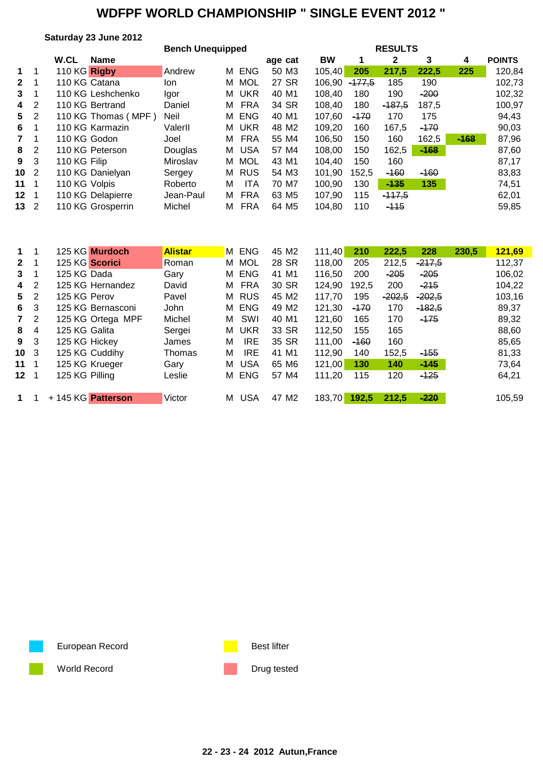#### **Saturday 23 June 2012**

|                |    |               | <b>Bench Unequipped</b> |           |   |            |                   |        |          | <b>RESULTS</b> |        |        |               |
|----------------|----|---------------|-------------------------|-----------|---|------------|-------------------|--------|----------|----------------|--------|--------|---------------|
|                |    | W.CL          | <b>Name</b>             |           |   |            | age cat           | BW     |          | 2              | 3      | 4      | <b>POINTS</b> |
| $1 \quad 1$    |    | 110 KG Rigby  |                         | Andrew    | м | <b>ENG</b> | 50 M3             | 105,40 | 205      | 217,5          | 222,5  | 225    | 120,84        |
| $\mathbf{2}$   |    |               | 110 KG Catana           | lon       | м | MOL        | 27 SR             | 106,90 | $-477.5$ | 185            | 190    |        | 102,73        |
| 3              |    |               | 110 KG Leshchenko       | Igor      | м | <b>UKR</b> | 40 M1             | 108.40 | 180      | 190            | $-200$ |        | 102,32        |
| 4              | -2 |               | 110 KG Bertrand         | Daniel    | м | FRA        | 34 SR             | 108,40 | 180      | $-187.5$       | 187,5  |        | 100,97        |
| 5 <sub>2</sub> |    |               | 110 KG Thomas (MPF)     | Neil      | м | <b>ENG</b> | 40 M1             | 107,60 | $-170$   | 170            | 175    |        | 94,43         |
| 6              |    |               | 110 KG Karmazin         | ValerII   | м | <b>UKR</b> | 48 M <sub>2</sub> | 109.20 | 160      | 167,5          | $-170$ |        | 90,03         |
| $7 \quad 1$    |    | 110 KG Godon  |                         | Joel      | м | FRA        | 55 M4             | 106.50 | 150      | 160            | 162,5  | $-168$ | 87,96         |
| 8 <sup>2</sup> |    |               | 110 KG Peterson         | Douglas   | м | <b>USA</b> | 57 M4             | 108.00 | 150      | 162,5          | $-168$ |        | 87,60         |
| $9 \quad 3$    |    | 110 KG Filip  |                         | Miroslav  | м | <b>MOL</b> | 43 M1             | 104,40 | 150      | 160            |        |        | 87,17         |
| 10 2           |    |               | 110 KG Danielyan        | Sergey    | м | <b>RUS</b> | 54 M3             | 101,90 | 152,5    | $-160$         | $-160$ |        | 83,83         |
| 11 1           |    | 110 KG Volpis |                         | Roberto   | м | <b>ITA</b> | 70 M7             | 100,90 | 130      | $-135$         | 135    |        | 74,51         |
| $12-1$         |    |               | 110 KG Delapierre       | Jean-Paul | м | <b>FRA</b> | 63 M <sub>5</sub> | 107,90 | 115      | $-117,5$       |        |        | 62,01         |
| 13 2           |    |               | 110 KG Grosperrin       | Michel    | м | <b>FRA</b> | 64 M <sub>5</sub> | 104,80 | 110      | $-115$         |        |        | 59,85         |
|                |    |               |                         |           |   |            |                   |        |          |                |        |        |               |

| $\mathbf 1$     |   | 125 KG Murdoch     | <b>Alistar</b> | M ENG           | 45 M2                | 111.40 | 210<br>222,5    | 228      | 230,5 | 121,69 |
|-----------------|---|--------------------|----------------|-----------------|----------------------|--------|-----------------|----------|-------|--------|
| $\mathbf{2}$    |   | 125 KG Scorici     | Roman          | MOL<br>м        | 28 SR                | 118,00 | 205<br>212,5    | $-217,5$ |       | 112,37 |
| 3               |   | 125 KG Dada        | Gary           | <b>ENG</b><br>м | 41 M1                | 116,50 | $-205$<br>200   | $-205$   |       | 106,02 |
| 4               | 2 | 125 KG Hernandez   | David          | <b>FRA</b><br>м | 30 SR                | 124,90 | 192,5<br>200    | $-215$   |       | 104,22 |
| 5.              | 2 | 125 KG Perov       | Pavel          | <b>RUS</b><br>м | 45 M2                | 117,70 | $-202,5$<br>195 | $-202,5$ |       | 103,16 |
| 6               | 3 | 125 KG Bernasconi  | John           | <b>ENG</b><br>м | 49 M <sub>2</sub>    | 121,30 | $-170$<br>170   | $-182.5$ |       | 89,37  |
| $7\phantom{.0}$ | 2 | 125 KG Ortega MPF  | Michel         | SWI<br>м        | 40 M1                | 121.60 | 165<br>170      | $-175$   |       | 89,32  |
| 8               | 4 | 125 KG Galita      | Sergei         | <b>UKR</b><br>м | 33 SR                | 112,50 | 155<br>165      |          |       | 88,60  |
| 9               | 3 | 125 KG Hickey      | James          | <b>IRE</b><br>M | 35 SR                | 111,00 | $-160$<br>160   |          |       | 85,65  |
| 10 <sub>3</sub> |   | 125 KG Cuddihy     | Thomas         | <b>IRE</b><br>м | 41<br>M1             | 112,90 | 140<br>152,5    | $-155$   |       | 81,33  |
| 11              |   | 125 KG Krueger     | Gary           | <b>USA</b><br>м | 65 M6                | 121,00 | 130<br>140      | $-145$   |       | 73.64  |
| 12              |   | 125 KG Pilling     | Leslie         | <b>ENG</b><br>м | 57 M4                | 111,20 | 115<br>120      | $-125$   |       | 64,21  |
|                 |   | + 145 KG Patterson | Victor         | <b>USA</b><br>м | M <sub>2</sub><br>47 | 183,70 | 192,5<br>212.5  | $-220$   |       | 105.59 |

European Record **Best lifter** Best lifter

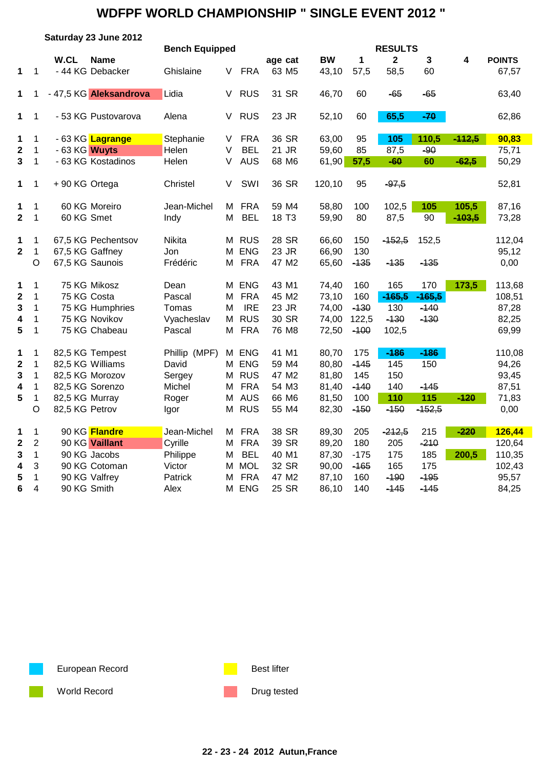|                         |                  | Saturday 23 June 2012               |                  |                       |            |                   |                |        |                |          |          |                |
|-------------------------|------------------|-------------------------------------|------------------|-----------------------|------------|-------------------|----------------|--------|----------------|----------|----------|----------------|
|                         |                  |                                     |                  | <b>Bench Equipped</b> |            |                   |                |        | <b>RESULTS</b> |          |          |                |
|                         |                  | W.CL<br><b>Name</b>                 |                  |                       |            | age cat           | <b>BW</b>      | 1      | $\mathbf{2}$   | 3        | 4        | <b>POINTS</b>  |
| 1                       | 1                | - 44 KG Debacker                    | Ghislaine        | V                     | <b>FRA</b> | 63 M <sub>5</sub> | 43,10          | 57,5   | 58,5           | 60       |          | 67,57          |
| 1                       | 1                | - 47,5 KG Aleksandrova              | Lidia            | V                     | <b>RUS</b> | 31 SR             | 46,70          | 60     | -65            | $-65$    |          | 63,40          |
| 1                       | 1                | - 53 KG Pustovarova                 | Alena            | V                     | <b>RUS</b> | 23 JR             | 52,10          | 60     | 65,5           | $-70$    |          | 62,86          |
| 1                       | 1                | - 63 KG Lagrange                    | Stephanie        | V                     | <b>FRA</b> | 36 SR             | 63,00          | 95     | 105            | 110,5    | $-112,5$ | 90,83          |
| $\mathbf 2$             | 1                | - 63 KG Wuyts                       | Helen            | V                     | <b>BEL</b> | 21 JR             | 59,60          | 85     | 87,5           | $-90$    |          | 75,71          |
| $\overline{\mathbf{3}}$ | 1                | - 63 KG Kostadinos                  | Helen            | V                     | <b>AUS</b> | 68 M6             | 61,90          | 57,5   | $-60$          | 60       | $-62,5$  | 50,29          |
| 1                       | 1                | +90 KG Ortega                       | Christel         | V                     | SWI        | 36 SR             | 120,10         | 95     | $-97,5$        |          |          | 52,81          |
| 1                       | 1                | 60 KG Moreiro                       | Jean-Michel      | M                     | <b>FRA</b> | 59 M4             | 58,80          | 100    | 102,5          | 105      | 105,5    | 87,16          |
| $\mathbf 2$             | $\mathbf{1}$     | 60 KG Smet                          | Indy             | M                     | <b>BEL</b> | 18 T <sub>3</sub> | 59,90          | 80     | 87,5           | 90       | $-103,5$ | 73,28          |
| 1                       | 1                | 67,5 KG Pechentsov                  | Nikita           | М                     | <b>RUS</b> | 28 SR             | 66,60          | 150    | $-152,5$       | 152,5    |          | 112,04         |
| $\mathbf{2}$            | 1                | 67,5 KG Gaffney                     | Jon              | м                     | <b>ENG</b> | 23 JR             | 66,90          | 130    |                |          |          | 95,12          |
|                         | $\circ$          | 67,5 KG Saunois                     | Frédéric         | м                     | <b>FRA</b> | 47 M2             | 65,60          | $-135$ | $-135$         | $-135$   |          | 0,00           |
| 1                       | 1                | 75 KG Mikosz                        | Dean             |                       | M ENG      | 43 M1             | 74,40          | 160    | 165            | 170      | 173,5    | 113,68         |
| $\mathbf 2$             | $\mathbf 1$      | 75 KG Costa                         | Pascal           | M                     | <b>FRA</b> | 45 M2             | 73,10          | 160    | $-465,5$       | $-465,5$ |          | 108,51         |
| 3                       | $\mathbf{1}$     | 75 KG Humphries                     | Tomas            | M                     | <b>IRE</b> | 23 JR             | 74,00          | $-130$ | 130            | $-140$   |          | 87,28          |
| 4                       | 1                | 75 KG Novikov                       | Vyacheslav       | М                     | <b>RUS</b> | 30 SR             | 74,00          | 122,5  | $-130$         | $-130$   |          | 82,25          |
| 5                       | 1                | 75 KG Chabeau                       | Pascal           | M                     | <b>FRA</b> | 76 M8             | 72,50          | $-100$ | 102,5          |          |          | 69,99          |
|                         |                  |                                     |                  |                       | M ENG      | 41 M1             |                | 175    | $-186$         | $-186$   |          | 110,08         |
| 1                       | 1                | 82,5 KG Tempest<br>82,5 KG Williams |                  | Phillip (MPF)         | <b>ENG</b> | 59 M4             | 80,70          | $-145$ | 145            | 150      |          |                |
| $\mathbf 2$             | 1<br>1           | 82,5 KG Morozov                     | David            | М<br>М                | <b>RUS</b> | 47 M2             | 80,80<br>81,80 | 145    | 150            |          |          | 94,26          |
| 3                       | $\mathbf 1$      | 82,5 KG Sorenzo                     | Sergey<br>Michel | M                     | <b>FRA</b> | 54 M3             |                | $-140$ | 140            | $-145$   |          | 93,45<br>87,51 |
| 4<br>5                  |                  | 82,5 KG Murray                      |                  | M                     | <b>AUS</b> | 66 M6             | 81,40<br>81,50 | 100    | 110            | 115      | $-120$   | 71,83          |
|                         | 1<br>$\circ$     | 82,5 KG Petrov                      | Roger            |                       | M RUS      | 55 M4             | 82,30          | $-150$ | $-150$         | $-152,5$ |          | 0,00           |
|                         |                  |                                     | Igor             |                       |            |                   |                |        |                |          |          |                |
| 1                       | $\mathbf{1}$     | 90 KG Flandre                       | Jean-Michel      | М                     | <b>FRA</b> | 38 SR             | 89,30          | 205    | $-212,5$       | 215      | $-220$   | 126,44         |
| 2                       | $\boldsymbol{2}$ | 90 KG Vaillant                      | Cyrille          | М                     | <b>FRA</b> | 39 SR             | 89,20          | 180    | 205            | $-210$   |          | 120,64         |
| 3                       | 1                | 90 KG Jacobs                        | Philippe         | M                     | <b>BEL</b> | 40 M1             | 87,30          | $-175$ | 175            | 185      | 200,5    | 110,35         |
| 4                       | 3                | 90 KG Cotoman                       | Victor           | М                     | <b>MOL</b> | 32 SR             | 90,00          | $-165$ | 165            | 175      |          | 102,43         |
| 5                       | 1                | 90 KG Valfrey                       | Patrick          | М                     | <b>FRA</b> | 47 M2             | 87,10          | 160    | $-190$         | $-195$   |          | 95,57          |
| 6                       | $\overline{4}$   | 90 KG Smith                         | Alex             | м                     | <b>ENG</b> | 25 SR             | 86,10          | 140    | $-145$         | $-145$   |          | 84,25          |

European Record **Best lifter** Best lifter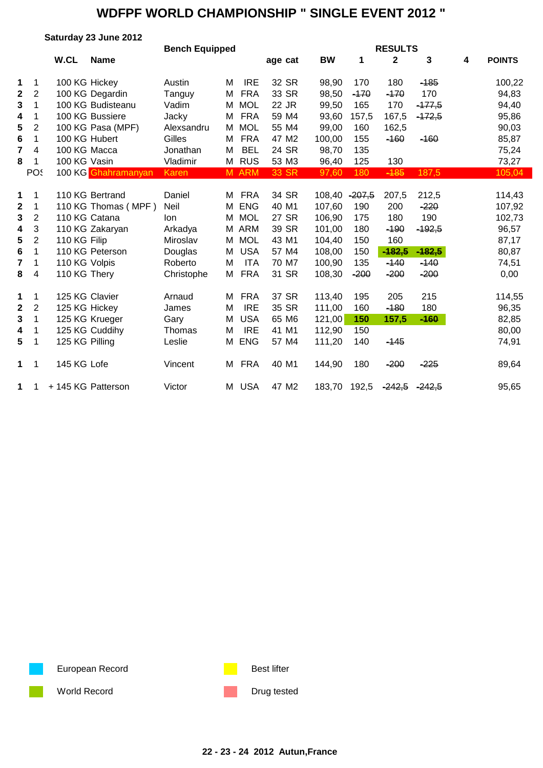|              |                |                | Saturday 23 June 2012 |                       |   |            |         |               |        |                |          |   |               |
|--------------|----------------|----------------|-----------------------|-----------------------|---|------------|---------|---------------|--------|----------------|----------|---|---------------|
|              |                |                |                       | <b>Bench Equipped</b> |   |            |         |               |        | <b>RESULTS</b> |          |   |               |
|              |                | W.CL           | <b>Name</b>           |                       |   |            | age cat | <b>BW</b>     | 1      | $\mathbf 2$    | 3        | 4 | <b>POINTS</b> |
| 1            | 1              |                | 100 KG Hickey         | Austin                | M | <b>IRE</b> | 32 SR   | 98,90         | 170    | 180            | $-185$   |   | 100,22        |
| $\mathbf 2$  | 2              |                | 100 KG Degardin       | Tanguy                | M | <b>FRA</b> | 33 SR   | 98,50         | $-170$ | $-170$         | 170      |   | 94,83         |
| 3            | 1              |                | 100 KG Budisteanu     | Vadim                 | M | <b>MOL</b> | 22 JR   | 99,50         | 165    | 170            | $-477,5$ |   | 94,40         |
| 4            | 1              |                | 100 KG Bussiere       | Jacky                 | M | <b>FRA</b> | 59 M4   | 93,60         | 157,5  | 167,5          | $-472,5$ |   | 95,86         |
| 5            | 2              |                | 100 KG Pasa (MPF)     | Alexsandru            | М | <b>MOL</b> | 55 M4   | 99,00         | 160    | 162,5          |          |   | 90,03         |
| 6            | 1              |                | 100 KG Hubert         | Gilles                | M | <b>FRA</b> | 47 M2   | 100,00        | 155    | $-160$         | $-160$   |   | 85,87         |
| 7            | 4              |                | 100 KG Macca          | Jonathan              | M | <b>BEL</b> | 24 SR   | 98,70         | 135    |                |          |   | 75,24         |
| 8            | $\mathbf 1$    | 100 KG Vasin   |                       | Vladimir              |   | M RUS      | 53 M3   | 96,40         | 125    | 130            |          |   | 73,27         |
|              | POS            |                | 100 KG Ghahramanyan   | Karen                 |   | M ARM      | 33 SR   | 97,60         | 180    | $-185$         | 187,5    |   | 105,04        |
|              |                |                |                       |                       |   |            |         |               |        |                |          |   |               |
| 1            | 1              |                | 110 KG Bertrand       | Daniel                | М | <b>FRA</b> | 34 SR   | 108,40 -207,5 |        | 207,5          | 212,5    |   | 114,43        |
| $\mathbf{2}$ | 1              |                | 110 KG Thomas (MPF)   | Neil                  | м | <b>ENG</b> | 40 M1   | 107,60        | 190    | 200            | $-220$   |   | 107,92        |
| 3            | 2              |                | 110 KG Catana         | lon                   | M | <b>MOL</b> | 27 SR   | 106,90        | 175    | 180            | 190      |   | 102,73        |
| 4            | 3              |                | 110 KG Zakaryan       | Arkadya               | M | <b>ARM</b> | 39 SR   | 101,00        | 180    | $-190$         | $-192,5$ |   | 96,57         |
| 5            | $\overline{2}$ | 110 KG Filip   |                       | Miroslav              | M | <b>MOL</b> | 43 M1   | 104,40        | 150    | 160            |          |   | 87,17         |
| $\bf 6$      | 1              |                | 110 KG Peterson       | Douglas               | M | <b>USA</b> | 57 M4   | 108,00        | 150    | $-182,5$       | $-182,5$ |   | 80,87         |
| 7            | 1              | 110 KG Volpis  |                       | Roberto               | M | <b>ITA</b> | 70 M7   | 100,90        | 135    | $-140$         | $-140$   |   | 74,51         |
| 8            | 4              | 110 KG Thery   |                       | Christophe            | M | <b>FRA</b> | 31 SR   | 108,30        | $-200$ | $-200$         | $-200$   |   | 0,00          |
| 1            | 1              |                | 125 KG Clavier        | Arnaud                | M | <b>FRA</b> | 37 SR   | 113,40        | 195    | 205            | 215      |   | 114,55        |
| $\mathbf{2}$ | $\overline{2}$ |                | 125 KG Hickey         | James                 | M | <b>IRE</b> | 35 SR   | 111,00        | 160    | $-180$         | 180      |   | 96,35         |
| 3            | 1              |                | 125 KG Krueger        | Gary                  | M | <b>USA</b> | 65 M6   | 121,00        | 150    | 157,5          | $-160$   |   | 82,85         |
| 4            | 1              |                | 125 KG Cuddihy        | Thomas                | M | <b>IRE</b> | 41 M1   | 112,90        | 150    |                |          |   | 80,00         |
| 5            | 1              | 125 KG Pilling |                       | Leslie                | м | <b>ENG</b> | 57 M4   | 111,20        | 140    | $-145$         |          |   | 74,91         |
|              |                |                |                       |                       |   |            |         |               |        |                |          |   |               |
| 1            | 1              | 145 KG Lofe    |                       | Vincent               | М | <b>FRA</b> | 40 M1   | 144,90        | 180    | $-200$         | $-225$   |   | 89,64         |
| 1            |                |                | + 145 KG Patterson    | Victor                |   | M USA      | 47 M2   | 183,70 192,5  |        | $-242,5$       | $-242.5$ |   | 95,65         |

European Record **Best lifter** Best lifter

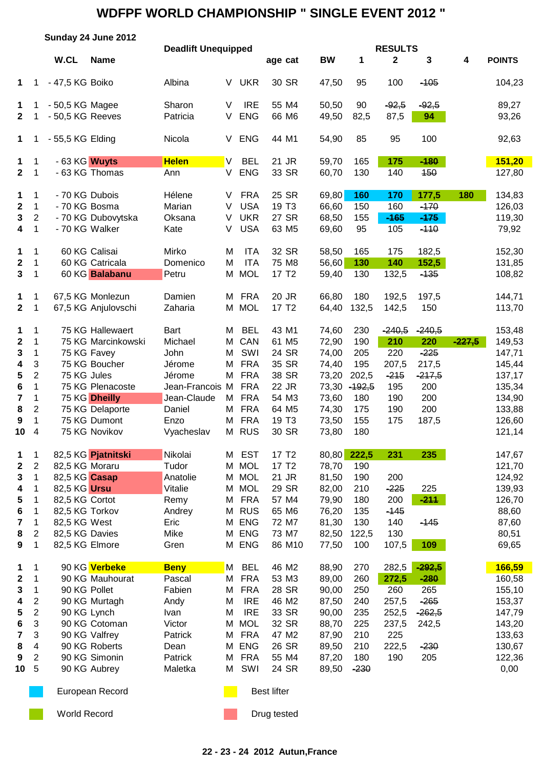|                         |                           | Sunday 24 June 2012                 |                     |                            |        |                          |                    |        |                |            |                                |               |          |                |
|-------------------------|---------------------------|-------------------------------------|---------------------|----------------------------|--------|--------------------------|--------------------|--------|----------------|------------|--------------------------------|---------------|----------|----------------|
|                         |                           | W.CL                                | <b>Name</b>         | <b>Deadlift Unequipped</b> |        |                          | age cat            |        | <b>BW</b>      | 1          | <b>RESULTS</b><br>$\mathbf{2}$ | $\mathbf 3$   | 4        | <b>POINTS</b>  |
| 1                       | 1                         | - 47,5 KG Boiko                     |                     | Albina                     | V      | <b>UKR</b>               | 30 SR              |        | 47,50          | 95         | 100                            | $-105$        |          | 104,23         |
| 1<br>$\mathbf{2}$       | 1<br>1                    | - 50,5 KG Magee<br>- 50,5 KG Reeves |                     | Sharon<br>Patricia         | V<br>V | <b>IRE</b><br><b>ENG</b> | 55 M4<br>66 M6     |        | 50,50<br>49,50 | 90<br>82,5 | $-92,5$<br>87,5                | $-92,5$<br>94 |          | 89,27<br>93,26 |
| $\mathbf 1$             | 1                         | - 55,5 KG Elding                    |                     | Nicola                     | V      | <b>ENG</b>               | 44 M1              |        | 54,90          | 85         | 95                             | 100           |          | 92,63          |
| 1                       | 1                         | - 63 KG Wuyts                       |                     | <b>Helen</b>               | IV.    | <b>BEL</b>               | 21 JR              |        | 59,70          | 165        | 175                            | $-180$        |          | 151,20         |
| $\mathbf{2}$            | 1                         |                                     | - 63 KG Thomas      | Ann                        | V      | <b>ENG</b>               | 33 SR              |        | 60,70          | 130        | 140                            | 450           |          | 127,80         |
| 1                       | 1                         | - 70 KG Dubois                      |                     | Hélene                     | V      | <b>FRA</b>               | 25 SR              |        | 69,80          | 160        | 170                            | 177,5         | 180      | 134,83         |
| 2                       | $\mathbf 1$               | - 70 KG Bosma                       |                     | Marian                     | V      | <b>USA</b>               | 19 T <sub>3</sub>  |        | 66,60          | 150        | 160                            | $-170$        |          | 126,03         |
| 3                       | $\overline{\mathbf{c}}$   |                                     | - 70 KG Dubovytska  | Oksana                     | V      | <b>UKR</b>               | 27 SR              |        | 68,50          | 155        | $-165$                         | $-175$        |          | 119,30         |
| 4                       | 1                         | - 70 KG Walker                      |                     | Kate                       | V      | <b>USA</b>               | 63 M <sub>5</sub>  |        | 69,60          | 95         | 105                            | $-110$        |          | 79,92          |
| 1                       | $\mathbf 1$               |                                     | 60 KG Calisai       | Mirko                      | M      | <b>ITA</b>               | 32 SR              |        | 58,50          | 165        | 175                            | 182,5         |          | 152,30         |
| $\boldsymbol{2}$        | $\mathbf 1$               |                                     | 60 KG Catricala     | Domenico                   | M      | <b>ITA</b>               | 75 M8              |        | 56,60          | 130        | 140                            | 152,5         |          | 131,85         |
| $\mathbf{3}$            | $\mathbf 1$               |                                     | 60 KG Balabanu      | Petru                      | M      | <b>MOL</b>               | 17 T <sub>2</sub>  |        | 59,40          | 130        | 132,5                          | $-135$        |          | 108,82         |
| $\mathbf{1}$            | 1                         |                                     | 67,5 KG Monlezun    | Damien                     | М      | <b>FRA</b>               | 20 JR              |        | 66,80          | 180        | 192,5                          | 197,5         |          | 144,71         |
| $\mathbf{2}$            | 1                         |                                     | 67,5 KG Anjulovschi | Zaharia                    | M      | <b>MOL</b>               | 17 T <sub>2</sub>  |        | 64,40          | 132,5      | 142,5                          | 150           |          | 113,70         |
| 1                       | 1                         |                                     | 75 KG Hallewaert    | <b>Bart</b>                | M      | <b>BEL</b>               | 43 M1              |        | 74,60          | 230        | $-240,5$                       | $-240,5$      |          | 153,48         |
| $\mathbf 2$             | $\mathbf 1$               |                                     | 75 KG Marcinkowski  | Michael                    | M      | CAN                      | 61 M5              |        | 72,90          | 190        | 210                            | 220           | $-227,5$ | 149,53         |
| 3                       | 1                         | 75 KG Favey                         |                     | John                       | M      | SWI                      | 24 SR              |        | 74,00          | 205        | 220                            | $-225$        |          | 147,71         |
| 4                       | 3                         |                                     | 75 KG Boucher       | Jérome                     | M      | <b>FRA</b>               | 35 SR              |        | 74,40          | 195        | 207,5                          | 217,5         |          | 145,44         |
| 5                       | $\overline{2}$            | 75 KG Jules                         |                     | Jérome                     | M      | <b>FRA</b>               | 38 SR              |        | 73,20          | 202,5      | $-215$                         | $-217,5$      |          | 137,17         |
| 6                       | 1                         |                                     | 75 KG Plenacoste    | Jean-Francois M            |        | <b>FRA</b>               | 22 JR              |        | 73,30          | $-192,5$   | 195                            | 200           |          | 135,34         |
| $\overline{\mathbf{7}}$ | 1                         |                                     | 75 KG Dheilly       | Jean-Claude                | М      | <b>FRA</b>               | 54 M3              |        | 73,60          | 180        | 190                            | 200           |          | 134,90         |
| 8                       | $\overline{2}$            |                                     | 75 KG Delaporte     | Daniel                     | М      | <b>FRA</b>               | 64 M5              |        | 74,30          | 175        | 190                            | 200           |          | 133,88         |
| 9                       | $\mathbf{1}$              |                                     | 75 KG Dumont        | Enzo                       | M      | <b>FRA</b>               | 19 T <sub>3</sub>  |        | 73,50          | 155        | 175                            | 187,5         |          | 126,60         |
| 10                      | 4                         |                                     | 75 KG Novikov       | Vyacheslav                 | M      | <b>RUS</b>               | 30 SR              |        | 73,80          | 180        |                                |               |          | 121,14         |
| 1                       | 1                         |                                     | 82,5 KG Pjatnitski  | Nikolai                    |        | M EST                    | 17 T <sub>2</sub>  |        | 80,80          | 222,5      | 231                            | 235           |          | 147,67         |
| $\boldsymbol{2}$        | 2                         | 82,5 KG Moraru                      |                     | Tudor                      | M      | <b>MOL</b>               | 17 T <sub>2</sub>  |        | 78,70          | 190        |                                |               |          | 121,70         |
| 3                       | $\mathbf 1$               | 82,5 KG Casap                       |                     | Anatolie                   | M      | <b>MOL</b>               | 21 JR              |        | 81,50          | 190        | 200                            |               |          | 124,92         |
| 4                       | 1                         | 82,5 KG Ursu                        |                     | Vitalie                    | Μ      | <b>MOL</b>               | 29 SR              |        | 82,00          | 210        | $-225$                         | 225           |          | 139,93         |
| 5                       | 1                         | 82,5 KG Cortot                      |                     | Remy                       | M      | <b>FRA</b>               | 57 M4              |        | 79,90          | 180        | 200                            | $-211$        |          | 126,70         |
| 6                       | 1                         | 82,5 KG Torkov                      |                     | Andrey                     | M      | <b>RUS</b>               | 65 M6              |        | 76,20          | 135        | $-145$                         |               |          | 88,60          |
| 7                       | 1                         | 82,5 KG West                        |                     | Eric                       | M      | <b>ENG</b>               | 72 M7              |        | 81,30          | 130        | 140                            | $-145$        |          | 87,60          |
| 8                       | $\overline{\mathbf{c}}$   | 82,5 KG Davies                      |                     | Mike                       | M      | <b>ENG</b>               | 73 M7              |        | 82,50          | 122,5      | 130                            |               |          | 80,51          |
| 9                       | 1                         | 82,5 KG Elmore                      |                     | Gren                       |        | M ENG                    |                    | 86 M10 | 77,50          | 100        | 107,5                          | 109           |          | 69,65          |
| 1                       | 1                         |                                     | 90 KG Verbeke       | <b>Beny</b>                | M      | <b>BEL</b>               | 46 M2              |        | 88,90          | 270        | 282,5                          | $-292,5$      |          | 166,59         |
| $\mathbf{2}$            | 1                         |                                     | 90 KG Mauhourat     | Pascal                     | M      | <b>FRA</b>               | 53 M3              |        | 89,00          | 260        | 272,5                          | $-280$        |          | 160,58         |
| 3                       | 1                         | 90 KG Pollet                        |                     | Fabien                     | M      | <b>FRA</b>               | 28 SR              |        | 90,00          | 250        | 260                            | 265           |          | 155,10         |
| 4                       | $\overline{\mathbf{c}}$   |                                     | 90 KG Murtagh       | Andy                       | M      | <b>IRE</b>               | 46 M2              |        | 87,50          | 240        | 257,5                          | $-265$        |          | 153,37         |
| 5                       | $\sqrt{2}$                | 90 KG Lynch                         |                     | Ivan                       | M      | <b>IRE</b>               | 33 SR              |        | 90,00          | 235        | 252,5                          | $-262,5$      |          | 147,79         |
| 6                       | $\ensuremath{\mathsf{3}}$ |                                     | 90 KG Cotoman       | Victor                     | M      | <b>MOL</b>               | 32 SR              |        | 88,70          | 225        | 237,5                          | 242,5         |          | 143,20         |
| $\overline{\mathbf{7}}$ | $\ensuremath{\mathsf{3}}$ |                                     | 90 KG Valfrey       | Patrick                    | M      | <b>FRA</b>               | 47 M2              |        | 87,90          | 210        | 225                            |               |          | 133,63         |
| 8                       | $\overline{4}$            |                                     | 90 KG Roberts       | Dean                       | M      | <b>ENG</b>               | 26 SR              |        | 89,50          | 210        | 222,5                          | $-230$        |          | 130,67         |
| 9                       | $\overline{2}$            |                                     | 90 KG Simonin       | Patrick                    | M      | <b>FRA</b>               | 55 M4              |        | 87,20          | 180        | 190                            | 205           |          | 122,36         |
| 10                      | 5                         |                                     | 90 KG Aubrey        | Maletka                    | M      | SWI                      | 24 SR              |        | 89,50          | $-230$     |                                |               |          | 0,00           |
|                         |                           |                                     | European Record     |                            |        |                          | <b>Best lifter</b> |        |                |            |                                |               |          |                |

World Record **Drug tested** Drug tested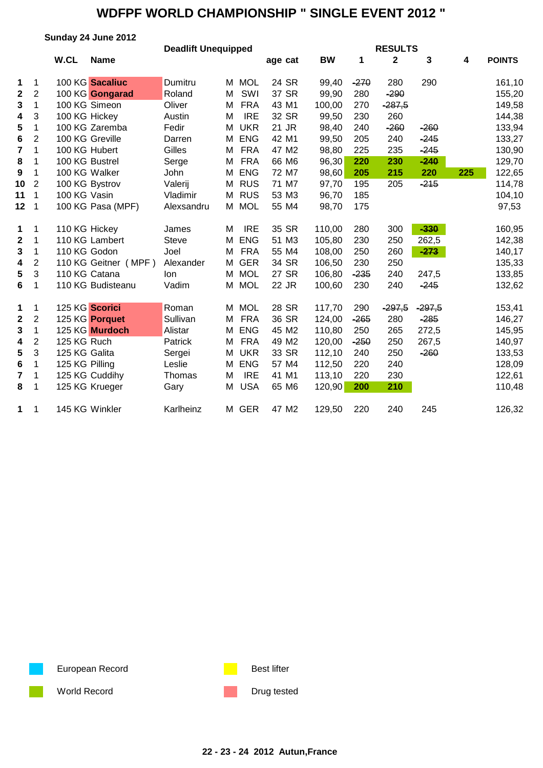|                  |                |                | Sunday 24 June 2012  |                            |   |            |         |           |        |                |          |     |               |
|------------------|----------------|----------------|----------------------|----------------------------|---|------------|---------|-----------|--------|----------------|----------|-----|---------------|
|                  |                |                |                      | <b>Deadlift Unequipped</b> |   |            |         |           |        | <b>RESULTS</b> |          |     |               |
|                  |                | W.CL           | <b>Name</b>          |                            |   |            | age cat | <b>BW</b> | 1      | $\mathbf{2}$   | 3        | 4   | <b>POINTS</b> |
| 1                | 1              |                | 100 KG Sacaliuc      | Dumitru                    |   | M MOL      | 24 SR   | 99,40     | $-270$ | 280            | 290      |     | 161,10        |
| $\mathbf 2$      | $\overline{2}$ |                | 100 KG Gongarad      | Roland                     | M | SWI        | 37 SR   | 99,90     | 280    | $-290$         |          |     | 155,20        |
| 3                | 1              |                | 100 KG Simeon        | Oliver                     | M | <b>FRA</b> | 43 M1   | 100,00    | 270    | $-287,5$       |          |     | 149,58        |
| 4                | 3              |                | 100 KG Hickey        | Austin                     | M | <b>IRE</b> | 32 SR   | 99,50     | 230    | 260            |          |     | 144,38        |
| 5                | 1              |                | 100 KG Zaremba       | Fedir                      | M | <b>UKR</b> | 21 JR   | 98,40     | 240    | $-260$         | $-260$   |     | 133,94        |
| 6                | $\overline{c}$ |                | 100 KG Greville      | Darren                     | М | <b>ENG</b> | 42 M1   | 99,50     | 205    | 240            | $-245$   |     | 133,27        |
| 7                | 1              |                | 100 KG Hubert        | Gilles                     | М | <b>FRA</b> | 47 M2   | 98,80     | 225    | 235            | $-245$   |     | 130,90        |
| 8                | 1              |                | 100 KG Bustrel       | Serge                      | M | <b>FRA</b> | 66 M6   | 96,30     | 220    | 230            | $-240$   |     | 129,70        |
| $\boldsymbol{9}$ | 1              |                | 100 KG Walker        | John                       | М | <b>ENG</b> | 72 M7   | 98,60     | 205    | 215            | 220      | 225 | 122,65        |
| 10               | $\overline{2}$ |                | 100 KG Bystrov       | Valerij                    | М | <b>RUS</b> | 71 M7   | 97,70     | 195    | 205            | $-215$   |     | 114,78        |
| 11               | 1              | 100 KG Vasin   |                      | Vladimir                   | М | <b>RUS</b> | 53 M3   | 96,70     | 185    |                |          |     | 104,10        |
| 12               | 1              |                | 100 KG Pasa (MPF)    | Alexsandru                 | M | <b>MOL</b> | 55 M4   | 98,70     | 175    |                |          |     | 97,53         |
| 1                | 1              |                | 110 KG Hickey        | James                      | M | <b>IRE</b> | 35 SR   | 110,00    | 280    | 300            | $-330$   |     | 160,95        |
| $\mathbf 2$      | 1              |                | 110 KG Lambert       | <b>Steve</b>               | М | <b>ENG</b> | 51 M3   | 105,80    | 230    | 250            | 262,5    |     | 142,38        |
| 3                | 1              | 110 KG Godon   |                      | Joel                       | м | <b>FRA</b> | 55 M4   | 108,00    | 250    | 260            | $-273$   |     | 140,17        |
| $\boldsymbol{4}$ | $\overline{2}$ |                | 110 KG Geitner (MPF) | Alexander                  | М | <b>GER</b> | 34 SR   | 106,50    | 230    | 250            |          |     | 135,33        |
| $5\phantom{.0}$  | 3              |                | 110 KG Catana        | lon                        | М | <b>MOL</b> | 27 SR   | 106,80    | $-235$ | 240            | 247,5    |     | 133,85        |
| 6                | 1              |                | 110 KG Budisteanu    | Vadim                      |   | M MOL      | 22 JR   | 100,60    | 230    | 240            | $-245$   |     | 132,62        |
| 1                | 1              |                | 125 KG Scorici       | Roman                      | М | <b>MOL</b> | 28 SR   | 117,70    | 290    | $-297,5$       | $-297,5$ |     | 153,41        |
| $\mathbf 2$      | $\overline{c}$ |                | 125 KG Porquet       | Sullivan                   | M | <b>FRA</b> | 36 SR   | 124,00    | $-265$ | 280            | $-285$   |     | 146,27        |
| 3                | $\mathbf{1}$   |                | 125 KG Murdoch       | Alistar                    | M | <b>ENG</b> | 45 M2   | 110,80    | 250    | 265            | 272,5    |     | 145,95        |
| 4                | $\overline{2}$ | 125 KG Ruch    |                      | Patrick                    | М | <b>FRA</b> | 49 M2   | 120,00    | $-250$ | 250            | 267,5    |     | 140,97        |
| 5                | 3              | 125 KG Galita  |                      | Sergei                     | M | <b>UKR</b> | 33 SR   | 112,10    | 240    | 250            | $-260$   |     | 133,53        |
| $\bf 6$          | $\mathbf{1}$   | 125 KG Pilling |                      | Leslie                     | M | <b>ENG</b> | 57 M4   | 112,50    | 220    | 240            |          |     | 128,09        |
| 7                | $\mathbf 1$    |                | 125 KG Cuddihy       | Thomas                     | м | <b>IRE</b> | 41 M1   | 113,10    | 220    | 230            |          |     | 122,61        |
| 8                | $\mathbf 1$    |                | 125 KG Krueger       | Gary                       | M | <b>USA</b> | 65 M6   | 120,90    | 200    | 210            |          |     | 110,48        |
| 1                | 1              |                | 145 KG Winkler       | Karlheinz                  |   | M GER      | 47 M2   | 129,50    | 220    | 240            | 245      |     | 126,32        |

European Record **Best lifter** Best lifter